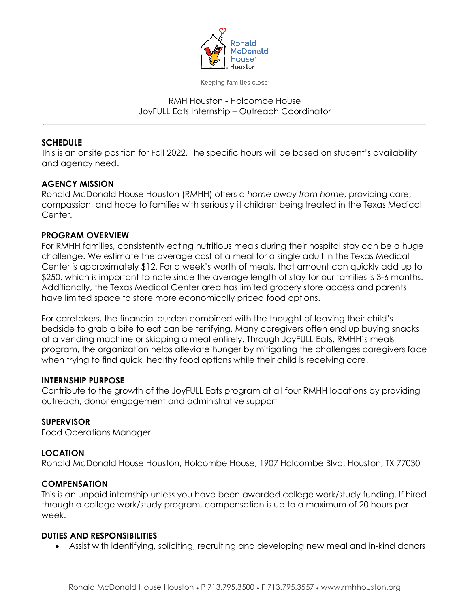

Keeping families close"

### RMH Houston - Holcombe House JoyFULL Eats Internship – Outreach Coordinator

### **SCHEDULE**

This is an onsite position for Fall 2022. The specific hours will be based on student's availability and agency need.

### **AGENCY MISSION**

Ronald McDonald House Houston (RMHH) offers a *home away from home*, providing care, compassion, and hope to families with seriously ill children being treated in the Texas Medical Center.

#### **PROGRAM OVERVIEW**

For RMHH families, consistently eating nutritious meals during their hospital stay can be a huge challenge. We estimate the average cost of a meal for a single adult in the Texas Medical Center is approximately \$12. For a week's worth of meals, that amount can quickly add up to \$250, which is important to note since the average length of stay for our families is 3-6 months. Additionally, the Texas Medical Center area has limited grocery store access and parents have limited space to store more economically priced food options.

For caretakers, the financial burden combined with the thought of leaving their child's bedside to grab a bite to eat can be terrifying. Many caregivers often end up buying snacks at a vending machine or skipping a meal entirely. Through JoyFULL Eats, RMHH's meals program, the organization helps alleviate hunger by mitigating the challenges caregivers face when trying to find quick, healthy food options while their child is receiving care.

#### **INTERNSHIP PURPOSE**

Contribute to the growth of the JoyFULL Eats program at all four RMHH locations by providing outreach, donor engagement and administrative support

### **SUPERVISOR**

Food Operations Manager

### **LOCATION**

Ronald McDonald House Houston, Holcombe House, 1907 Holcombe Blvd, Houston, TX 77030

#### **COMPENSATION**

This is an unpaid internship unless you have been awarded college work/study funding. If hired through a college work/study program, compensation is up to a maximum of 20 hours per week.

#### **DUTIES AND RESPONSIBILITIES**

• Assist with identifying, soliciting, recruiting and developing new meal and in-kind donors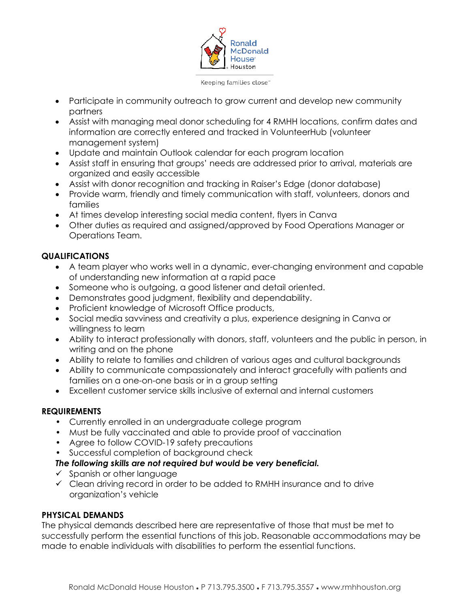

Keeping families close"

- Participate in community outreach to grow current and develop new community partners
- Assist with managing meal donor scheduling for 4 RMHH locations, confirm dates and information are correctly entered and tracked in VolunteerHub (volunteer management system)
- Update and maintain Outlook calendar for each program location
- Assist staff in ensuring that groups' needs are addressed prior to arrival, materials are organized and easily accessible
- Assist with donor recognition and tracking in Raiser's Edge (donor database)
- Provide warm, friendly and timely communication with staff, volunteers, donors and families
- At times develop interesting social media content, flyers in Canva
- Other duties as required and assigned/approved by Food Operations Manager or Operations Team.

## **QUALIFICATIONS**

- A team player who works well in a dynamic, ever-changing environment and capable of understanding new information at a rapid pace
- Someone who is outgoing, a good listener and detail oriented.
- Demonstrates good judgment, flexibility and dependability.
- Proficient knowledge of Microsoft Office products,
- Social media savviness and creativity a plus, experience designing in Canva or willingness to learn
- Ability to interact professionally with donors, staff, volunteers and the public in person, in writing and on the phone
- Ability to relate to families and children of various ages and cultural backgrounds
- Ability to communicate compassionately and interact gracefully with patients and families on a one-on-one basis or in a group setting
- Excellent customer service skills inclusive of external and internal customers

## **REQUIREMENTS**

- Currently enrolled in an undergraduate college program
- Must be fully vaccinated and able to provide proof of vaccination
- Agree to follow COVID-19 safety precautions
- Successful completion of background check

# *The following skills are not required but would be very beneficial.*

- $\checkmark$  Spanish or other language
- $\checkmark$  Clean driving record in order to be added to RMHH insurance and to drive organization's vehicle

# **PHYSICAL DEMANDS**

The physical demands described here are representative of those that must be met to successfully perform the essential functions of this job. Reasonable accommodations may be made to enable individuals with disabilities to perform the essential functions.